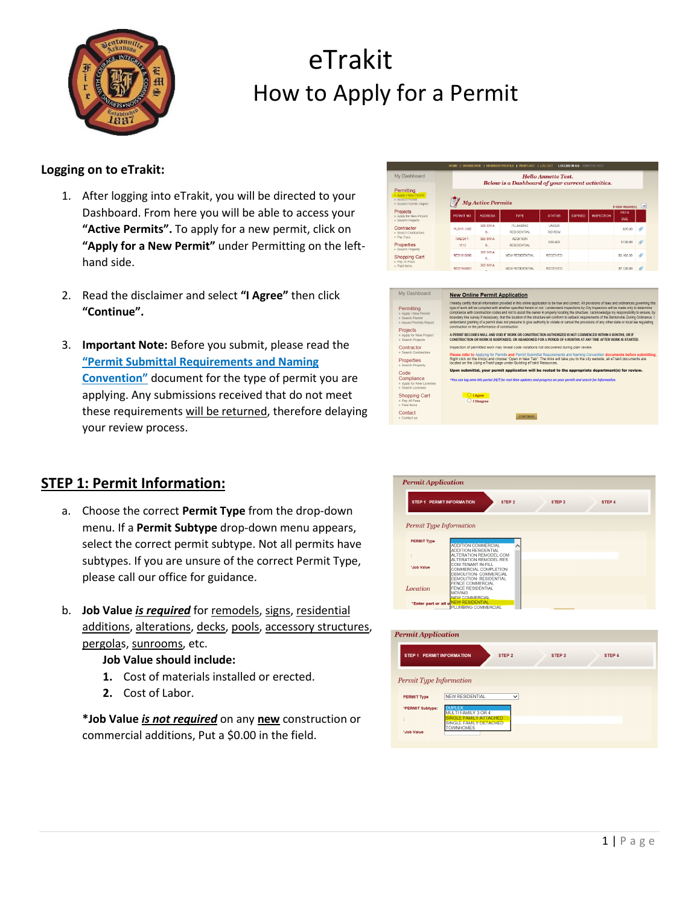

#### **Logging on to eTrakit:**

- 1. After logging into eTrakit, you will be directed to your Dashboard. From here you will be able to access your **"Active Permits".** To apply for a new permit, click on **"Apply for a New Permit"** under Permitting on the lefthand side.
- 2. Read the disclaimer and select **"I Agree"** then click **"Continue".**
- 3. **Important Note:** Before you submit, please read the **"Permit Submittal Requirements and Naming Convention"** document for the type of permit you are applying. Any submissions received that do not meet these requirements will be returned, therefore delaying your review process.

| HOME I DASHBOARD I VIEW/EDITPROFILE I VIEW CART I LOG OUT LOGGED IN AS: ANNETTE TEST   |                                                                                |                              |                                       |                               |                |                   |                    |               |
|----------------------------------------------------------------------------------------|--------------------------------------------------------------------------------|------------------------------|---------------------------------------|-------------------------------|----------------|-------------------|--------------------|---------------|
| My Dashboard                                                                           | <b>Hello Annette Test.</b><br>Below is a Dashboard of your current activities. |                              |                                       |                               |                |                   |                    |               |
| Permitting<br>▶ Apply / New Permit<br><b>Search Permit</b><br>I- Issued Permits Report |                                                                                | <b>My Active Permits</b>     |                                       |                               |                |                   | 5 total record(s). | ÷             |
| Projects<br>Apply for New Project<br><b>E Search Projects</b>                          | PERMIT NO.                                                                     | <b>ADORESS</b>               | <b>TYPE</b>                           | <b>STATUS</b>                 | <b>EXPIRED</b> | <b>INSPECTION</b> | <b>FEES</b><br>DUE |               |
| Contractor<br>Search Contractors                                                       | PLR17-1585                                                                     | 305 SW A<br>$S_{\text{max}}$ | <b>PLUMBING</b><br><b>RESIDENTIAL</b> | <b>UNDER</b><br><b>REVIEW</b> |                |                   | \$35.00            | $\mathscr O$  |
| Pay Fees<br>Properties                                                                 | RADD17-<br>1512                                                                | 305 SW A<br>$S_{\text{eff}}$ | <b>ADDITION</b><br><b>RESIDENTIAL</b> | <b>ISSUED</b>                 |                |                   | \$130.00           | Q             |
| Rearch Property<br>Shopping Cart<br>Pay All Fees                                       | RES18-0086                                                                     | 305 SW A<br>$S_{\text{max}}$ | NEW RESIDENTIAL                       | <b>RECEIVED</b>               |                |                   | \$3,103.35         | O             |
| - Paid Terrs                                                                           | RES19-0001                                                                     | 305 SW A                     | NEW RESIDENTIAL                       | <b>RECEIVED</b>               |                |                   | \$7,120.00         | $\mathscr{O}$ |

| My Dashboard                                                                                    | <b>New Online Permit Application</b>                                                                                                                                                                                                                                                                                                                                                                                                                                                                                                                                                                                                                                                                                                                                                                                     |
|-------------------------------------------------------------------------------------------------|--------------------------------------------------------------------------------------------------------------------------------------------------------------------------------------------------------------------------------------------------------------------------------------------------------------------------------------------------------------------------------------------------------------------------------------------------------------------------------------------------------------------------------------------------------------------------------------------------------------------------------------------------------------------------------------------------------------------------------------------------------------------------------------------------------------------------|
| Permittina<br>Apply / New Permit<br>- Search Permit<br><b>Issued Permits Report</b><br>Projects | I hereby certify that all information provided in this online application to be true and correct. All provisions of laws and ordinances governing this<br>type of work will be complied with whether specified herein or not. I understand inspections by City Inspectors will be made only to determine<br>compliance with construction codes and not to assist the owner in properly locating the structure. I acknowledge my responsibility to ensure, by<br>boundary line survey if necessary, that the location of the structure will conform to setback requirements of the Bentonyille Zoning Ordinance.<br>understand granting of a permit does not presume to give authority to violate or cancel the provisions of any other state or local law regulating<br>construction or the performance of construction. |
| Apply for New Project<br>Search Projects                                                        | A PERMIT BECOMES NULL AND VOID IF WORK OR CONSTRUCTION AUTHORIZED IS NOT COMMENCED WITHIN 6 MONTHS. OR IF<br>CONSTRUCTION OR WORK IS SUSPENDED. OR ABANDONED FOR A PERIOD OF 6 MONTHS AT ANY TIME AFTER WORK IS STARTED.                                                                                                                                                                                                                                                                                                                                                                                                                                                                                                                                                                                                 |
| Contractor                                                                                      | Inspection of permitted work may reveal code violations not discovered during plan review.                                                                                                                                                                                                                                                                                                                                                                                                                                                                                                                                                                                                                                                                                                                               |
| - Search Contractors<br>Properties<br>Search Property                                           | Please refer to Applying for Permits and Permit Submittal Requirements and Naming Convention documents before submitting.<br>Right click on the link(s) and choose "Open in New Tab". The links will take you to the city website, all eTrakit documents are<br>located on the Using eTrakit page under Building eTrakit Resources.                                                                                                                                                                                                                                                                                                                                                                                                                                                                                      |
| Code                                                                                            | Upon submittal, your permit application will be routed to the appropriate department(s) for review.                                                                                                                                                                                                                                                                                                                                                                                                                                                                                                                                                                                                                                                                                                                      |
| Compliance<br>Apply for New Licenses<br>Search Licenses                                         | *You can log onto this portal 24/7 for real time updates and progress on your permit and search for information.                                                                                                                                                                                                                                                                                                                                                                                                                                                                                                                                                                                                                                                                                                         |
| <b>Shopping Cart</b><br><b>Pay All Fees</b><br>Paid Items                                       | C   Agree<br>O I Disagree                                                                                                                                                                                                                                                                                                                                                                                                                                                                                                                                                                                                                                                                                                                                                                                                |
| Contact<br>Contact us                                                                           | <b>CONTINUE</b>                                                                                                                                                                                                                                                                                                                                                                                                                                                                                                                                                                                                                                                                                                                                                                                                          |

### **STEP 1: Permit Information:**

- a. Choose the correct **Permit Type** from the drop-down menu. If a **Permit Subtype** drop-down menu appears, select the correct permit subtype. Not all permits have subtypes. If you are unsure of the correct Permit Type, please call our office for guidance.
- b. **Job Value** *is required* for remodels, signs, residential additions, alterations, decks, pools, accessory structures, pergolas, sunrooms, etc.

#### **Job Value should include:**

- **1.** Cost of materials installed or erected.
- **2.** Cost of Labor.

**\*Job Value** *is not required* on any **new** construction or commercial additions, Put a \$0.00 in the field.



| <b>Permit Application</b>        |                                                         |
|----------------------------------|---------------------------------------------------------|
| <b>STEP 1 PERMIT INFORMATION</b> | STEP <sub>2</sub><br>STEP <sub>3</sub><br>STEP 4        |
| Permit Type Information          |                                                         |
| <b>PERMIT Type</b>               | <b>NEW RESIDENTIAL</b><br>$\checkmark$                  |
| *PERMIT Subtype:                 | DI<br>IPLEX<br>MULTI FAMILY 3 OR 4                      |
| ٠<br>۰                           | <b>SINGLE FAMILY ATTACHED</b><br>SINGLE FAMILY DETACHED |
| *Job Value                       | <b>TOWNHOMES</b>                                        |
|                                  |                                                         |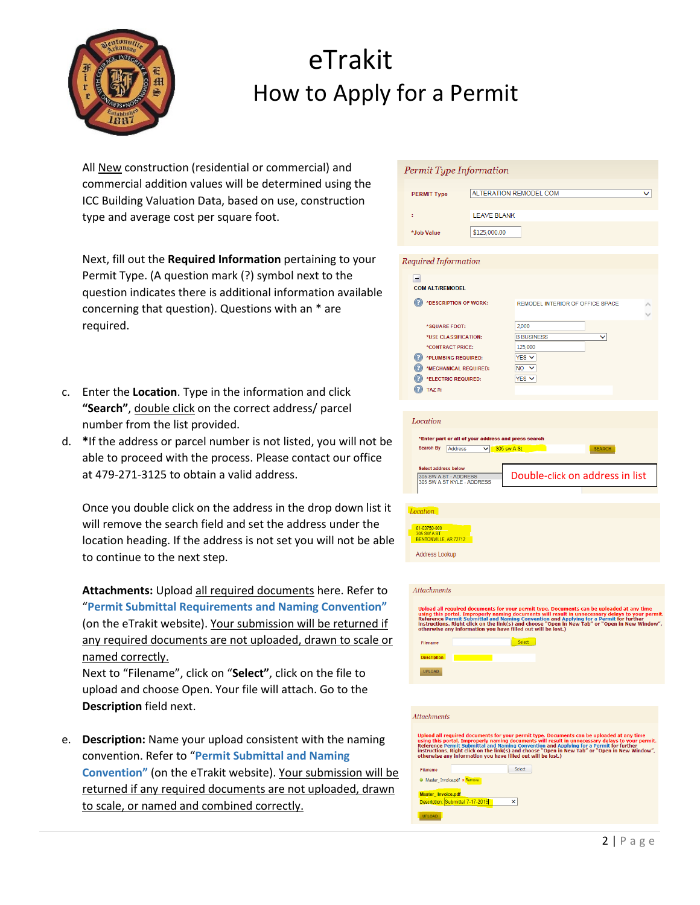

All New construction (residential or commercial) and commercial addition values will be determined using the ICC Building Valuation Data, based on use, construction type and average cost per square foot.

Next, fill out the **Required Information** pertaining to your Permit Type. (A question mark (?) symbol next to the question indicates there is additional information available concerning that question). Questions with an \* are required.

- c. Enter the **Location**. Type in the information and click **"Search"**, double click on the correct address/ parcel number from the list provided.
- d. **\***If the address or parcel number is not listed, you will not be able to proceed with the process. Please contact our office at 479-271-3125 to obtain a valid address.

Once you double click on the address in the drop down list it will remove the search field and set the address under the location heading. If the address is not set you will not be able to continue to the next step.

**Attachments:** Upload all required documents here. Refer to "**Permit Submittal Requirements and Naming Convention"**  (on the eTrakit website). Your submission will be returned if any required documents are not uploaded, drawn to scale or named correctly.

Next to "Filename", click on "**Select"**, click on the file to upload and choose Open. Your file will attach. Go to the **Description** field next.

e. **Description:** Name your upload consistent with the naming convention. Refer to "**Permit Submittal and Naming Convention"** (on the eTrakit website). Your submission will be returned if any required documents are not uploaded, drawn to scale, or named and combined correctly.

| Permit Type Information                                                                                                                                                                                                                                  |                                                                                                                |                                                                                                                                                                                                                                                                                                                                                                   |  |  |  |
|----------------------------------------------------------------------------------------------------------------------------------------------------------------------------------------------------------------------------------------------------------|----------------------------------------------------------------------------------------------------------------|-------------------------------------------------------------------------------------------------------------------------------------------------------------------------------------------------------------------------------------------------------------------------------------------------------------------------------------------------------------------|--|--|--|
| <b>PERMIT Type</b>                                                                                                                                                                                                                                       |                                                                                                                | ALTERATION REMODEL COM                                                                                                                                                                                                                                                                                                                                            |  |  |  |
| t                                                                                                                                                                                                                                                        | <b>LEAVE BLANK</b>                                                                                             |                                                                                                                                                                                                                                                                                                                                                                   |  |  |  |
| *Job Value                                                                                                                                                                                                                                               | \$125,000.00                                                                                                   |                                                                                                                                                                                                                                                                                                                                                                   |  |  |  |
|                                                                                                                                                                                                                                                          |                                                                                                                |                                                                                                                                                                                                                                                                                                                                                                   |  |  |  |
| Required Information                                                                                                                                                                                                                                     |                                                                                                                |                                                                                                                                                                                                                                                                                                                                                                   |  |  |  |
| -1<br><b>COM ALT/REMODEL</b>                                                                                                                                                                                                                             |                                                                                                                |                                                                                                                                                                                                                                                                                                                                                                   |  |  |  |
| (?)<br>*DESCRIPTION OF WORK:                                                                                                                                                                                                                             |                                                                                                                | <b>REMODEL INTERIOR OF OFFICE SPACE</b>                                                                                                                                                                                                                                                                                                                           |  |  |  |
| *SQUARE FOOT:                                                                                                                                                                                                                                            |                                                                                                                | 2,000                                                                                                                                                                                                                                                                                                                                                             |  |  |  |
| *USE CLASSIFICATION:                                                                                                                                                                                                                                     |                                                                                                                | <b>B BUSINESS</b><br>◡                                                                                                                                                                                                                                                                                                                                            |  |  |  |
| *CONTRACT PRICE:                                                                                                                                                                                                                                         |                                                                                                                | 125,000                                                                                                                                                                                                                                                                                                                                                           |  |  |  |
| *PLUMBING REQUIRED:<br>*MECHANICAL REQUIRED:                                                                                                                                                                                                             |                                                                                                                | $YES$ $\vee$<br>$NO$ $\vee$                                                                                                                                                                                                                                                                                                                                       |  |  |  |
| *ELECTRIC REQUIRED:                                                                                                                                                                                                                                      |                                                                                                                | YES <sub>V</sub>                                                                                                                                                                                                                                                                                                                                                  |  |  |  |
| TAZ#:                                                                                                                                                                                                                                                    |                                                                                                                |                                                                                                                                                                                                                                                                                                                                                                   |  |  |  |
| <b>Search By</b><br>Address<br><b>Select address below</b><br>305 SW A ST - ADDRESS<br>305 SW A ST KYLE - ADDRESS<br>Location<br>01-03750-000<br>305 SW A ST<br>BENTONVILLE, AR 72712<br>Address Lookup<br>Attachments<br>Filename<br><b>Description</b> | 'Enter part or all of your address and press search<br>$\vee$ 305 sw A St<br><b>Contract Contract Contract</b> | <b>SEARCH</b><br>Double-click on address in list<br>Upload all required documents for your permit type. Documents can be uploaded at any time<br>using this portal. Improperly naming documents will result in unnecessary delays to your permit<br>Reference Permit Submittal and Nami<br>otherwise any information you have filled out will be lost.)<br>Select |  |  |  |
| UPLOAD                                                                                                                                                                                                                                                   |                                                                                                                |                                                                                                                                                                                                                                                                                                                                                                   |  |  |  |
|                                                                                                                                                                                                                                                          |                                                                                                                |                                                                                                                                                                                                                                                                                                                                                                   |  |  |  |
|                                                                                                                                                                                                                                                          |                                                                                                                |                                                                                                                                                                                                                                                                                                                                                                   |  |  |  |
| <b>Attachments</b>                                                                                                                                                                                                                                       |                                                                                                                |                                                                                                                                                                                                                                                                                                                                                                   |  |  |  |
| Filename                                                                                                                                                                                                                                                 |                                                                                                                | Upload all required documents for your permit type. Documents can be uploaded at any time<br>sphow are required unculments out your permit, you can be using this portal. Improperly naming documents will result in unnecessary delays to your permit.<br>Reference Permit Submittal and Naming Convention and Applying for a<br>Select                          |  |  |  |
| Master_Invoice.pdf x Remove                                                                                                                                                                                                                              |                                                                                                                |                                                                                                                                                                                                                                                                                                                                                                   |  |  |  |
| Master Invoice.pdf<br>Description: Submittal 7-17-2019                                                                                                                                                                                                   |                                                                                                                | ×                                                                                                                                                                                                                                                                                                                                                                 |  |  |  |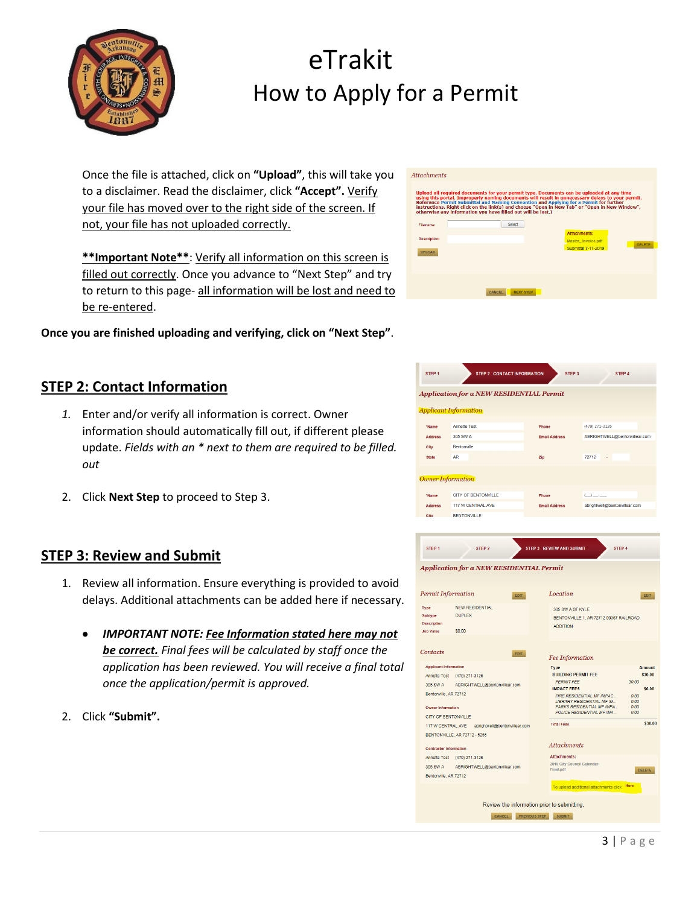

Once the file is attached, click on **"Upload"**, this will take you to a disclaimer. Read the disclaimer, click **"Accept".** Verify your file has moved over to the right side of the screen. If not, your file has not uploaded correctly.

**\*\*Important Note\*\***: Verify all information on this screen is filled out correctly. Once you advance to "Next Step" and try to return to this page- all information will be lost and need to be re-entered.

**Once you are finished uploading and verifying, click on "Next Step"**.

### **STEP 2: Contact Information**

- *1.* Enter and/or verify all information is correct. Owner information should automatically fill out, if different please update. *Fields with an \* next to them are required to be filled. out*
- 2. Click **Next Step** to proceed to Step 3.

### **STEP 3: Review and Submit**

- 1. Review all information. Ensure everything is provided to avoid delays. Additional attachments can be added here if necessary.
	- *IMPORTANT NOTE: Fee Information stated here may not be correct. Final fees will be calculated by staff once the application has been reviewed. You will receive a final total once the application/permit is approved.*
- 2. Click **"Submit".**

| <b>Attachments</b>                  | Upload all required documents for your permit type. Documents can be uploaded at any time<br>Reference Permit Submittal and Naming Convention and Applying for a Permit for further<br>otherwise any information you have filled out will be lost.) | using this portal. Improperly naming documents will result in unnecessary delays to your permit.<br>instructions. Right click on the link(s) and choose "Open in New Tab" or "Open in New Window", |  |
|-------------------------------------|-----------------------------------------------------------------------------------------------------------------------------------------------------------------------------------------------------------------------------------------------------|----------------------------------------------------------------------------------------------------------------------------------------------------------------------------------------------------|--|
| Filename                            | Select                                                                                                                                                                                                                                              |                                                                                                                                                                                                    |  |
| <b>Description</b><br><b>UPLOAD</b> |                                                                                                                                                                                                                                                     | <b>Attachments:</b><br>Master Invoice.pdf<br><b>DELETE</b><br>Submittal 7-17-2019                                                                                                                  |  |
|                                     | <b>NEXT STEP</b><br>CANCEL                                                                                                                                                                                                                          |                                                                                                                                                                                                    |  |

| <b>Application for a NEW RESIDENTIAL Permit</b> |                              |                      |                               |  |  |  |
|-------------------------------------------------|------------------------------|----------------------|-------------------------------|--|--|--|
|                                                 | <b>Applicant Information</b> |                      |                               |  |  |  |
| "Name                                           | <b>Annette Test</b>          | Phone                | (479) 271-3126                |  |  |  |
| <b>Address</b>                                  | 305 SW A                     | <b>Email Address</b> | ABRIGHTWELL@bentonvillear.com |  |  |  |
| City                                            | Bentonville                  |                      |                               |  |  |  |
| <b>State</b>                                    | <b>AR</b>                    | Zip                  | 72712<br>ä,                   |  |  |  |
| <b>Owner Information</b>                        |                              |                      |                               |  |  |  |
| "Name                                           | <b>CITY OF BENTONVILLE</b>   | Phone                | $\cup$ $\sim$                 |  |  |  |
| <b>Address</b>                                  | 117 W CENTRAL AVE            | <b>Email Address</b> | abrightwell@bentonvillear.com |  |  |  |
| City                                            | <b>BENTONVILLE</b>           |                      |                               |  |  |  |

| <b>Permit Information</b>                                               | <b>EDIT</b>                                                   | Location                                                                      | <b>EDIT</b>            |
|-------------------------------------------------------------------------|---------------------------------------------------------------|-------------------------------------------------------------------------------|------------------------|
| <b>Type</b><br><b>Subtype</b><br><b>Description</b><br><b>Job Value</b> | <b>NEW RESIDENTIAL</b><br><b>DUPLEX</b><br>S <sub>0.00</sub>  | 305 SW A ST KYLE<br>BENTONVILLE 1, AR 72712 00357 RAILROAD<br><b>ADDITION</b> |                        |
| Contacts                                                                | <b>EDIT</b>                                                   | <b>Fee Information</b>                                                        |                        |
| <b>Applicant Information</b>                                            |                                                               | <b>Type</b>                                                                   | <b>Amount</b>          |
| <b>Annette Test</b>                                                     | (479) 271-3126                                                | <b>BUILDING PERMIT FEE</b>                                                    | \$30.00                |
| 305 SW A                                                                | ABRIGHTWELL@bentonvillear.com                                 | <b>PERMIT FEE</b><br><b>IMPACT FEES</b>                                       | 30.00                  |
| Bentonville, AR 72712                                                   |                                                               | FIRE RESIDENTIAL MF IMPAC<br><b>LIBRARY RESIDENTIAL MF IM</b>                 | \$0.00<br>0.00<br>0.00 |
| <b>Owner Information</b>                                                |                                                               | <b>PARKS RESIDENTIAL MF IMPA</b><br>POLICE RESIDENTIAL MF IMA                 | 0.00<br>0.00           |
| <b>CITY OF BENTONVILLE</b>                                              |                                                               | <b>Total Fees</b>                                                             | \$30.00                |
| 117 W CENTRAL AVE                                                       | abrightwell@bentonvillear.com<br>BENTONVILLE, AR 72712 - 5256 |                                                                               |                        |
| <b>Contractor Information</b>                                           |                                                               | <b>Attachments</b>                                                            |                        |
| <b>Annette Test</b>                                                     | (479) 271-3126                                                | <b>Attachments:</b>                                                           |                        |
| 305 SW A                                                                | ABRIGHTWELL@bentonvillear.com                                 | 2019 City Council Calendar-<br>Final.pdf                                      |                        |
| Bentonville, AR 72712                                                   |                                                               |                                                                               | DELETE                 |
|                                                                         |                                                               | To upload additional attachments click                                        | Here                   |